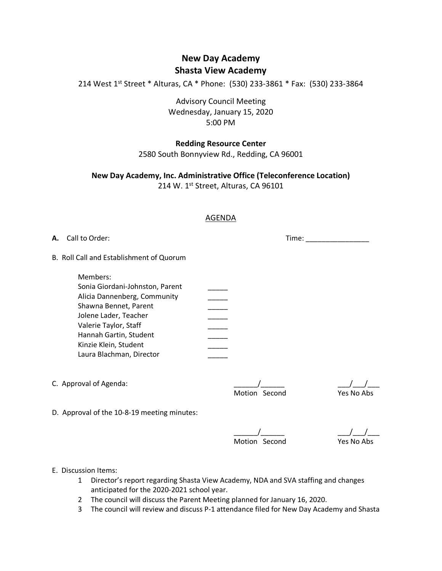# **New Day Academy Shasta View Academy**

214 West 1st Street \* Alturas, CA \* Phone: (530) 233-3861 \* Fax: (530) 233-3864

Advisory Council Meeting Wednesday, January 15, 2020 5:00 PM

### **Redding Resource Center**

2580 South Bonnyview Rd., Redding, CA 96001

## **New Day Academy, Inc. Administrative Office (Teleconference Location)**

214 W. 1st Street, Alturas, CA 96101

### AGENDA

**A.** Call to Order:  $\blacksquare$ 

B. Roll Call and Establishment of Quorum

| Members:                        |  |
|---------------------------------|--|
| Sonia Giordani-Johnston, Parent |  |
| Alicia Dannenberg, Community    |  |
| Shawna Bennet, Parent           |  |
| Jolene Lader, Teacher           |  |
| Valerie Taylor, Staff           |  |
| Hannah Gartin, Student          |  |
| Kinzie Klein, Student           |  |
| Laura Blachman, Director        |  |

C. Approval of Agenda:  $\frac{1}{2}$  Motion Second

 $\frac{\sqrt{}}{\text{Yes No Abs}}$ 

D. Approval of the 10-8-19 meeting minutes:

<u>\_\_\_\_\_\_/\_\_\_\_\_\_\_</u><br>Motion Second

 $\frac{\sqrt{2}}{\text{Yes No Abs}}$ 

E. Discussion Items:

- 1 Director's report regarding Shasta View Academy, NDA and SVA staffing and changes anticipated for the 2020-2021 school year.
- 2 The council will discuss the Parent Meeting planned for January 16, 2020.
- 3 The council will review and discuss P-1 attendance filed for New Day Academy and Shasta